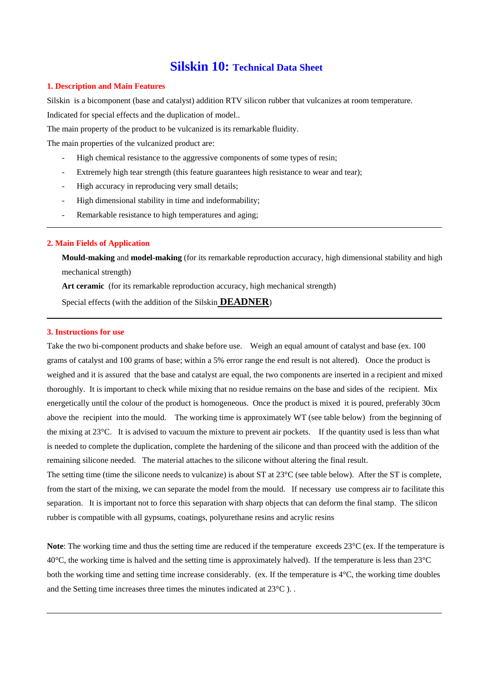# **Silskin 10: Technical Data Sheet**

#### **1. Description and Main Features**

Silskin is a bicomponent (base and catalyst) addition RTV silicon rubber that vulcanizes at room temperature.

Indicated for special effects and the duplication of model..

The main property of the product to be vulcanized is its remarkable fluidity.

The main properties of the vulcanized product are:

- High chemical resistance to the aggressive components of some types of resin;
- Extremely high tear strength (this feature guarantees high resistance to wear and tear);
- High accuracy in reproducing very small details;
- High dimensional stability in time and indeformability;
- Remarkable resistance to high temperatures and aging;

#### **2. Main Fields of Application**

**Mould-making** and **model-making** (for its remarkable reproduction accuracy, high dimensional stability and high mechanical strength)

**Art ceramic** (for its remarkable reproduction accuracy, high mechanical strength)

Special effects (with the addition of the Silskin **DEADNER**)

#### **3. Instructions for use**

Take the two bi-component products and shake before use. Weigh an equal amount of catalyst and base (ex. 100 grams of catalyst and 100 grams of base; within a 5% error range the end result is not altered). Once the product is weighed and it is assured that the base and catalyst are equal, the two components are inserted in a recipient and mixed thoroughly. It is important to check while mixing that no residue remains on the base and sides of the recipient. Mix energetically until the colour of the product is homogeneous. Once the product is mixed it is poured, preferably 30cm above the recipient into the mould. The working time is approximately WT (see table below) from the beginning of the mixing at 23°C. It is advised to vacuum the mixture to prevent air pockets. If the quantity used is less than what is needed to complete the duplication, complete the hardening of the silicone and than proceed with the addition of the remaining silicone needed. The material attaches to the silicone without altering the final result.

The setting time (time the silicone needs to vulcanize) is about ST at 23<sup>o</sup>C (see table below). After the ST is complete, from the start of the mixing, we can separate the model from the mould. If necessary use compress air to facilitate this separation. It is important not to force this separation with sharp objects that can deform the final stamp. The silicon rubber is compatible with all gypsums, coatings, polyurethane resins and acrylic resins

**Note**: The working time and thus the setting time are reduced if the temperature exceeds 23<sup>o</sup>C (ex. If the temperature is  $40^{\circ}$ C, the working time is halved and the setting time is approximately halved). If the temperature is less than 23 $^{\circ}$ C both the working time and setting time increase considerably. (ex. If the temperature is  $4^{\circ}$ C, the working time doubles and the Setting time increases three times the minutes indicated at 23°C ). .